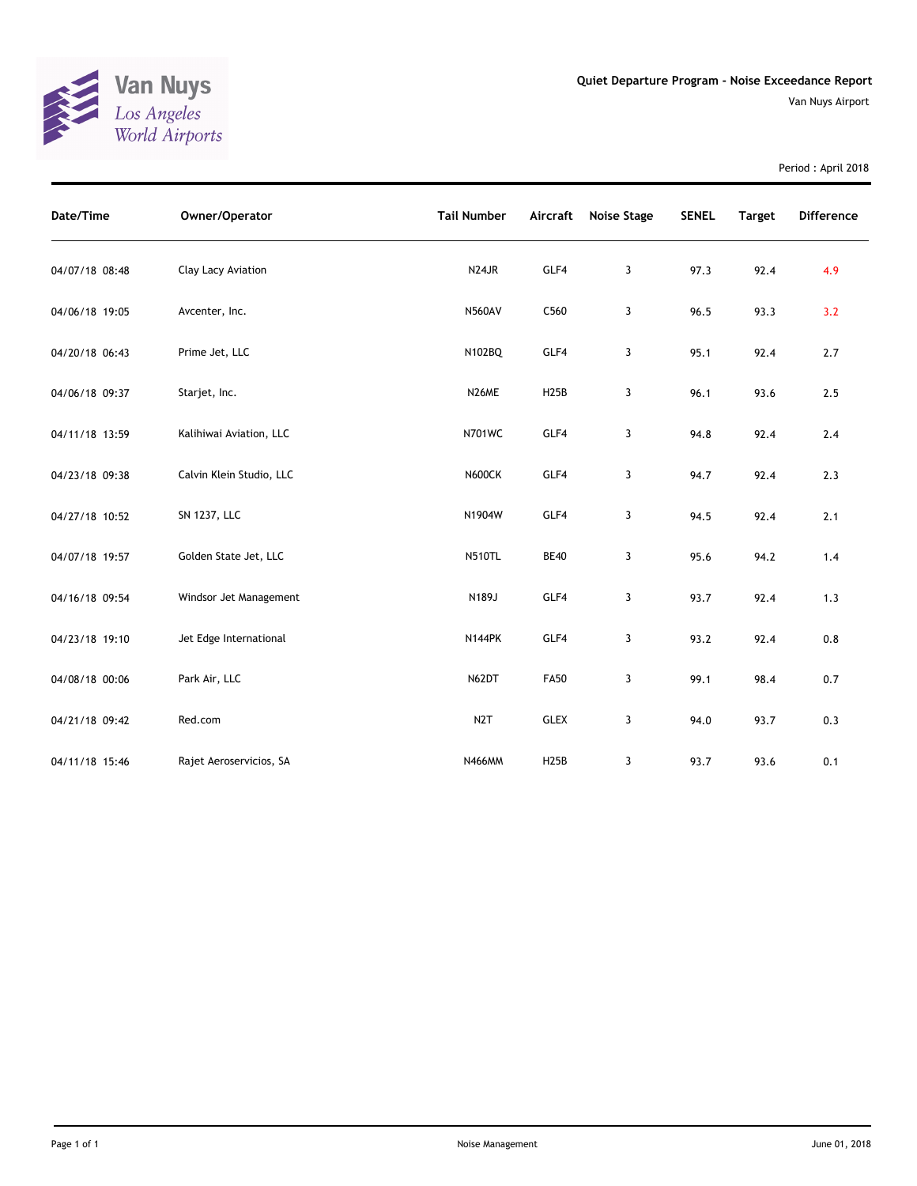

Period : April 2018

| Date/Time      | Owner/Operator           | <b>Tail Number</b> | Aircraft    | <b>Noise Stage</b> | <b>SENEL</b> | <b>Target</b> | <b>Difference</b> |
|----------------|--------------------------|--------------------|-------------|--------------------|--------------|---------------|-------------------|
| 04/07/18 08:48 | Clay Lacy Aviation       | N <sub>24</sub> JR | GLF4        | 3                  | 97.3         | 92.4          | 4.9               |
| 04/06/18 19:05 | Avcenter, Inc.           | <b>N560AV</b>      | C560        | 3                  | 96.5         | 93.3          | 3.2               |
| 04/20/18 06:43 | Prime Jet, LLC           | N102BQ             | GLF4        | 3                  | 95.1         | 92.4          | 2.7               |
| 04/06/18 09:37 | Starjet, Inc.            | N26ME              | <b>H25B</b> | 3                  | 96.1         | 93.6          | 2.5               |
| 04/11/18 13:59 | Kalihiwai Aviation, LLC  | <b>N701WC</b>      | GLF4        | 3                  | 94.8         | 92.4          | 2.4               |
| 04/23/18 09:38 | Calvin Klein Studio, LLC | <b>N600CK</b>      | GLF4        | 3                  | 94.7         | 92.4          | 2.3               |
| 04/27/18 10:52 | SN 1237, LLC             | N1904W             | GLF4        | 3                  | 94.5         | 92.4          | 2.1               |
| 04/07/18 19:57 | Golden State Jet, LLC    | <b>N510TL</b>      | <b>BE40</b> | 3                  | 95.6         | 94.2          | 1.4               |
| 04/16/18 09:54 | Windsor Jet Management   | N189J              | GLF4        | 3                  | 93.7         | 92.4          | 1.3               |
| 04/23/18 19:10 | Jet Edge International   | <b>N144PK</b>      | GLF4        | 3                  | 93.2         | 92.4          | 0.8               |
| 04/08/18 00:06 | Park Air, LLC            | N62DT              | <b>FA50</b> | 3                  | 99.1         | 98.4          | 0.7               |
| 04/21/18 09:42 | Red.com                  | N <sub>2</sub> T   | <b>GLEX</b> | 3                  | 94.0         | 93.7          | 0.3               |
| 04/11/18 15:46 | Rajet Aeroservicios, SA  | N466MM             | <b>H25B</b> | 3                  | 93.7         | 93.6          | 0.1               |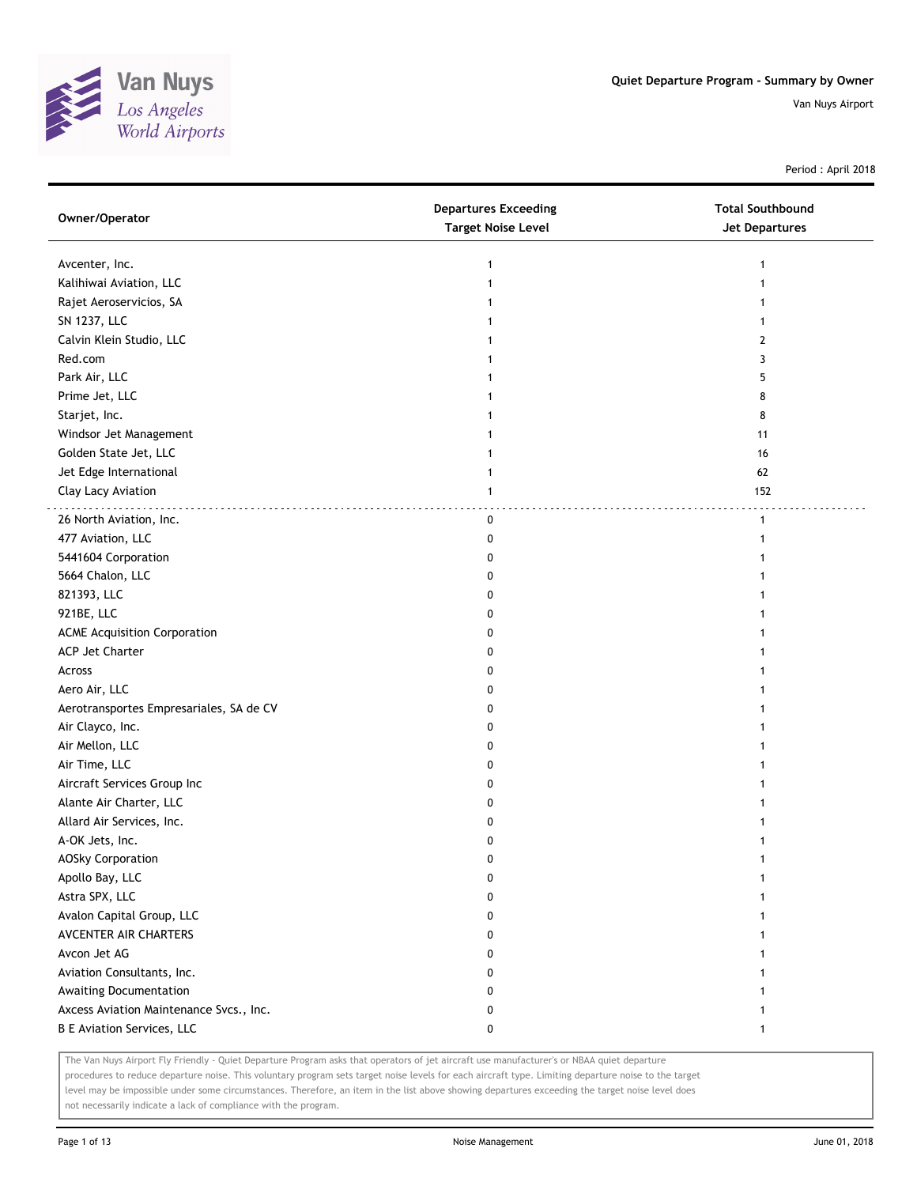

Period : April 2018

| Owner/Operator                          | <b>Departures Exceeding</b><br><b>Target Noise Level</b> | <b>Total Southbound</b><br><b>Jet Departures</b> |
|-----------------------------------------|----------------------------------------------------------|--------------------------------------------------|
| Avcenter, Inc.                          | 1                                                        | -1                                               |
| Kalihiwai Aviation, LLC                 |                                                          |                                                  |
| Rajet Aeroservicios, SA                 |                                                          |                                                  |
| SN 1237, LLC                            |                                                          |                                                  |
| Calvin Klein Studio, LLC                |                                                          | 2                                                |
| Red.com                                 | 1                                                        | 3                                                |
| Park Air, LLC                           |                                                          | 5                                                |
| Prime Jet, LLC                          |                                                          | 8                                                |
| Starjet, Inc.                           |                                                          | 8                                                |
| Windsor Jet Management                  |                                                          | 11                                               |
| Golden State Jet, LLC                   |                                                          | 16                                               |
| Jet Edge International                  |                                                          | 62                                               |
| Clay Lacy Aviation                      | 1                                                        | 152                                              |
| 26 North Aviation, Inc.                 | 0                                                        | $\mathbf{1}$                                     |
| 477 Aviation, LLC                       | 0                                                        | 1                                                |
| 5441604 Corporation                     | 0                                                        |                                                  |
| 5664 Chalon, LLC                        | 0                                                        |                                                  |
| 821393, LLC                             | 0                                                        |                                                  |
| 921BE, LLC                              | 0                                                        |                                                  |
| <b>ACME Acquisition Corporation</b>     | 0                                                        |                                                  |
| ACP Jet Charter                         | 0                                                        |                                                  |
| Across                                  | 0                                                        |                                                  |
| Aero Air, LLC                           | 0                                                        |                                                  |
| Aerotransportes Empresariales, SA de CV | 0                                                        |                                                  |
| Air Clayco, Inc.                        | 0                                                        |                                                  |
| Air Mellon, LLC                         | 0                                                        |                                                  |
| Air Time, LLC                           | 0                                                        |                                                  |
| Aircraft Services Group Inc             | 0                                                        |                                                  |
| Alante Air Charter, LLC                 | 0                                                        |                                                  |
| Allard Air Services, Inc.               | 0                                                        |                                                  |
| A-OK Jets, Inc.                         | 0                                                        |                                                  |
| <b>AOSky Corporation</b>                | U                                                        |                                                  |
| Apollo Bay, LLC                         | 0                                                        | -1                                               |
| Astra SPX, LLC                          | 0                                                        |                                                  |
| Avalon Capital Group, LLC               | 0                                                        |                                                  |
| AVCENTER AIR CHARTERS                   | 0                                                        |                                                  |
| Avcon Jet AG                            | 0                                                        |                                                  |
| Aviation Consultants, Inc.              | 0                                                        |                                                  |
| Awaiting Documentation                  | 0                                                        |                                                  |
| Axcess Aviation Maintenance Svcs., Inc. | 0                                                        |                                                  |
| <b>B E Aviation Services, LLC</b>       | 0                                                        | -1                                               |

The Van Nuys Airport Fly Friendly - Quiet Departure Program asks that operators of jet aircraft use manufacturer's or NBAA quiet departure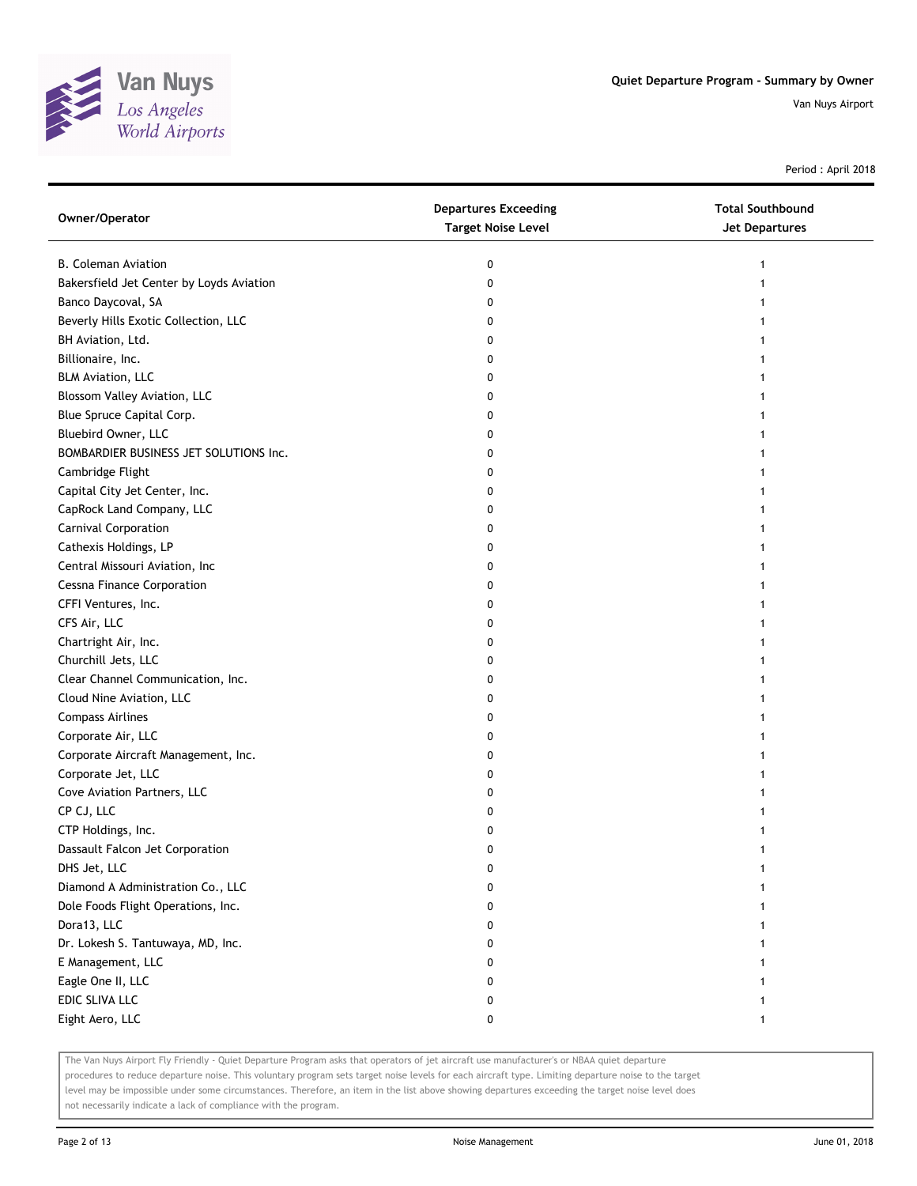

Period : April 2018

| Owner/Operator                           | <b>Departures Exceeding</b><br><b>Target Noise Level</b> | <b>Total Southbound</b><br>Jet Departures |
|------------------------------------------|----------------------------------------------------------|-------------------------------------------|
| <b>B. Coleman Aviation</b>               | 0                                                        | 1                                         |
| Bakersfield Jet Center by Loyds Aviation | 0                                                        |                                           |
| Banco Daycoval, SA                       | 0                                                        |                                           |
| Beverly Hills Exotic Collection, LLC     | 0                                                        |                                           |
| BH Aviation, Ltd.                        | 0                                                        |                                           |
| Billionaire, Inc.                        | 0                                                        |                                           |
| <b>BLM Aviation, LLC</b>                 | 0                                                        |                                           |
| Blossom Valley Aviation, LLC             | 0                                                        |                                           |
| Blue Spruce Capital Corp.                | 0                                                        |                                           |
| Bluebird Owner, LLC                      | 0                                                        |                                           |
| BOMBARDIER BUSINESS JET SOLUTIONS Inc.   | 0                                                        |                                           |
| Cambridge Flight                         | 0                                                        |                                           |
| Capital City Jet Center, Inc.            | 0                                                        |                                           |
| CapRock Land Company, LLC                | 0                                                        |                                           |
| Carnival Corporation                     | 0                                                        |                                           |
| Cathexis Holdings, LP                    | 0                                                        |                                           |
| Central Missouri Aviation, Inc           | 0                                                        |                                           |
| <b>Cessna Finance Corporation</b>        | 0                                                        |                                           |
| CFFI Ventures, Inc.                      | 0                                                        |                                           |
| CFS Air, LLC                             | 0                                                        |                                           |
| Chartright Air, Inc.                     | 0                                                        |                                           |
| Churchill Jets, LLC                      | 0                                                        |                                           |
| Clear Channel Communication, Inc.        | 0                                                        |                                           |
| Cloud Nine Aviation, LLC                 | 0                                                        |                                           |
| <b>Compass Airlines</b>                  | 0                                                        |                                           |
| Corporate Air, LLC                       | 0                                                        |                                           |
| Corporate Aircraft Management, Inc.      | 0                                                        |                                           |
| Corporate Jet, LLC                       | 0                                                        |                                           |
| Cove Aviation Partners, LLC              | 0                                                        |                                           |
| CP CJ, LLC                               | 0                                                        |                                           |
| CTP Holdings, Inc.                       | 0                                                        |                                           |
| Dassault Falcon Jet Corporation          | 0                                                        |                                           |
| DHS Jet, LLC                             | 0                                                        |                                           |
| Diamond A Administration Co., LLC        | 0                                                        |                                           |
| Dole Foods Flight Operations, Inc.       | 0                                                        |                                           |
| Dora13, LLC                              | 0                                                        |                                           |
| Dr. Lokesh S. Tantuwaya, MD, Inc.        | 0                                                        |                                           |
| E Management, LLC                        | 0                                                        |                                           |
| Eagle One II, LLC                        | 0                                                        |                                           |
| EDIC SLIVA LLC                           | 0                                                        |                                           |
| Eight Aero, LLC                          | 0                                                        | 1                                         |

The Van Nuys Airport Fly Friendly - Quiet Departure Program asks that operators of jet aircraft use manufacturer's or NBAA quiet departure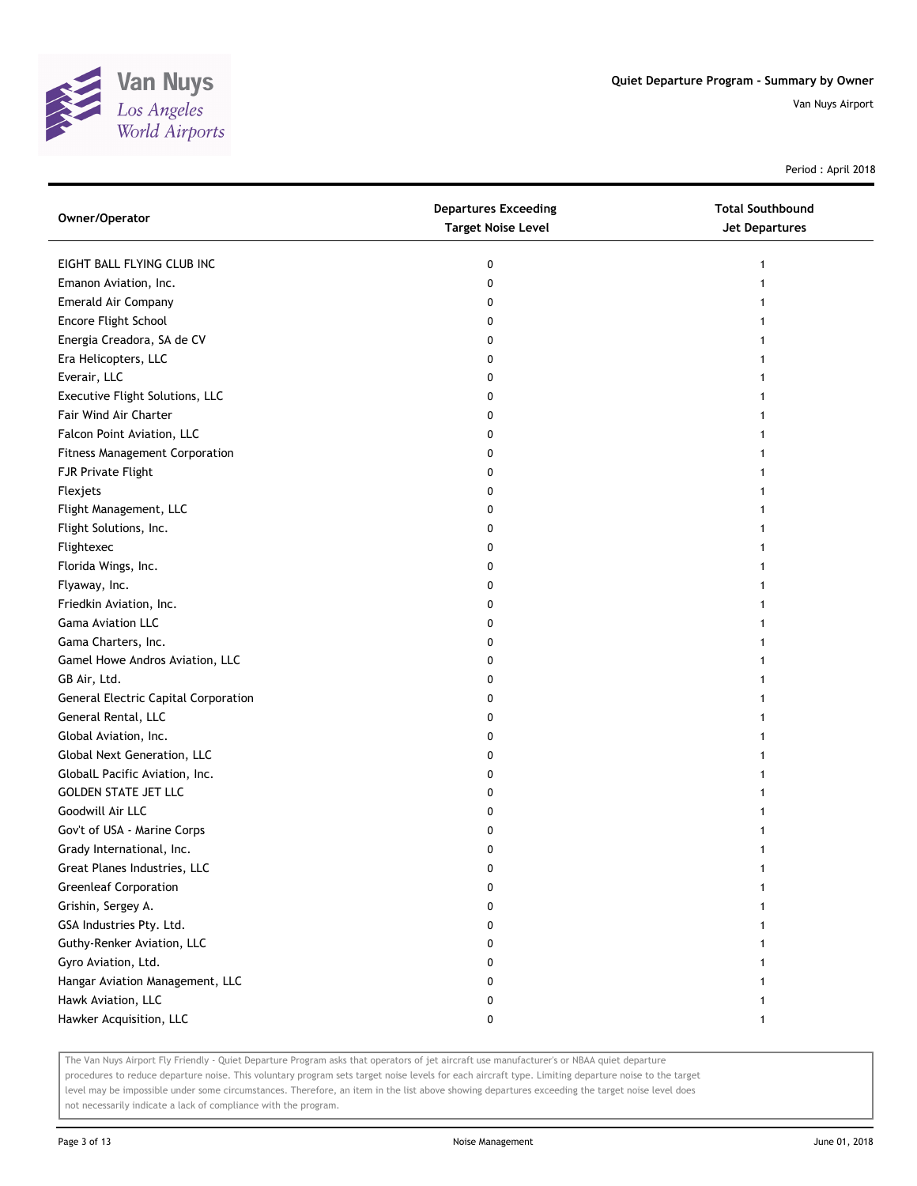

Period : April 2018

| Owner/Operator                              | <b>Departures Exceeding</b><br><b>Target Noise Level</b> | <b>Total Southbound</b><br>Jet Departures |
|---------------------------------------------|----------------------------------------------------------|-------------------------------------------|
| EIGHT BALL FLYING CLUB INC                  | 0                                                        | 1                                         |
| Emanon Aviation, Inc.                       | 0                                                        |                                           |
| Emerald Air Company                         | 0                                                        |                                           |
| Encore Flight School                        | 0                                                        |                                           |
| Energia Creadora, SA de CV                  | 0                                                        |                                           |
| Era Helicopters, LLC                        | 0                                                        | 1                                         |
| Everair, LLC                                | 0                                                        | 1                                         |
| Executive Flight Solutions, LLC             | 0                                                        |                                           |
| Fair Wind Air Charter                       | 0                                                        |                                           |
| Falcon Point Aviation, LLC                  | 0                                                        |                                           |
| <b>Fitness Management Corporation</b>       | 0                                                        |                                           |
| FJR Private Flight                          | 0                                                        |                                           |
| Flexjets                                    | 0                                                        |                                           |
| Flight Management, LLC                      | 0                                                        |                                           |
| Flight Solutions, Inc.                      | 0                                                        |                                           |
| Flightexec                                  | 0                                                        |                                           |
| Florida Wings, Inc.                         | 0                                                        |                                           |
| Flyaway, Inc.                               | 0                                                        |                                           |
| Friedkin Aviation, Inc.                     | 0                                                        |                                           |
| <b>Gama Aviation LLC</b>                    | 0                                                        |                                           |
| Gama Charters, Inc.                         | 0                                                        |                                           |
| Gamel Howe Andros Aviation, LLC             | 0                                                        |                                           |
| GB Air, Ltd.                                | 0                                                        |                                           |
| <b>General Electric Capital Corporation</b> | 0                                                        |                                           |
| General Rental, LLC                         | 0                                                        | 1                                         |
| Global Aviation, Inc.                       | 0                                                        | 1                                         |
| Global Next Generation, LLC                 | 0                                                        | 1                                         |
| GlobalL Pacific Aviation, Inc.              | 0                                                        |                                           |
| <b>GOLDEN STATE JET LLC</b>                 | 0                                                        |                                           |
| Goodwill Air LLC                            | 0                                                        |                                           |
| Gov't of USA - Marine Corps                 | 0                                                        |                                           |
| Grady International, Inc.                   | 0                                                        |                                           |
| Great Planes Industries, LLC                | 0                                                        |                                           |
| <b>Greenleaf Corporation</b>                | 0                                                        |                                           |
| Grishin, Sergey A.                          | 0                                                        |                                           |
| GSA Industries Pty. Ltd.                    | 0                                                        |                                           |
| Guthy-Renker Aviation, LLC                  | 0                                                        |                                           |
| Gyro Aviation, Ltd.                         | 0                                                        |                                           |
| Hangar Aviation Management, LLC             | 0                                                        |                                           |
| Hawk Aviation, LLC                          | 0                                                        |                                           |
| Hawker Acquisition, LLC                     | 0                                                        | $\mathbf{1}$                              |

The Van Nuys Airport Fly Friendly - Quiet Departure Program asks that operators of jet aircraft use manufacturer's or NBAA quiet departure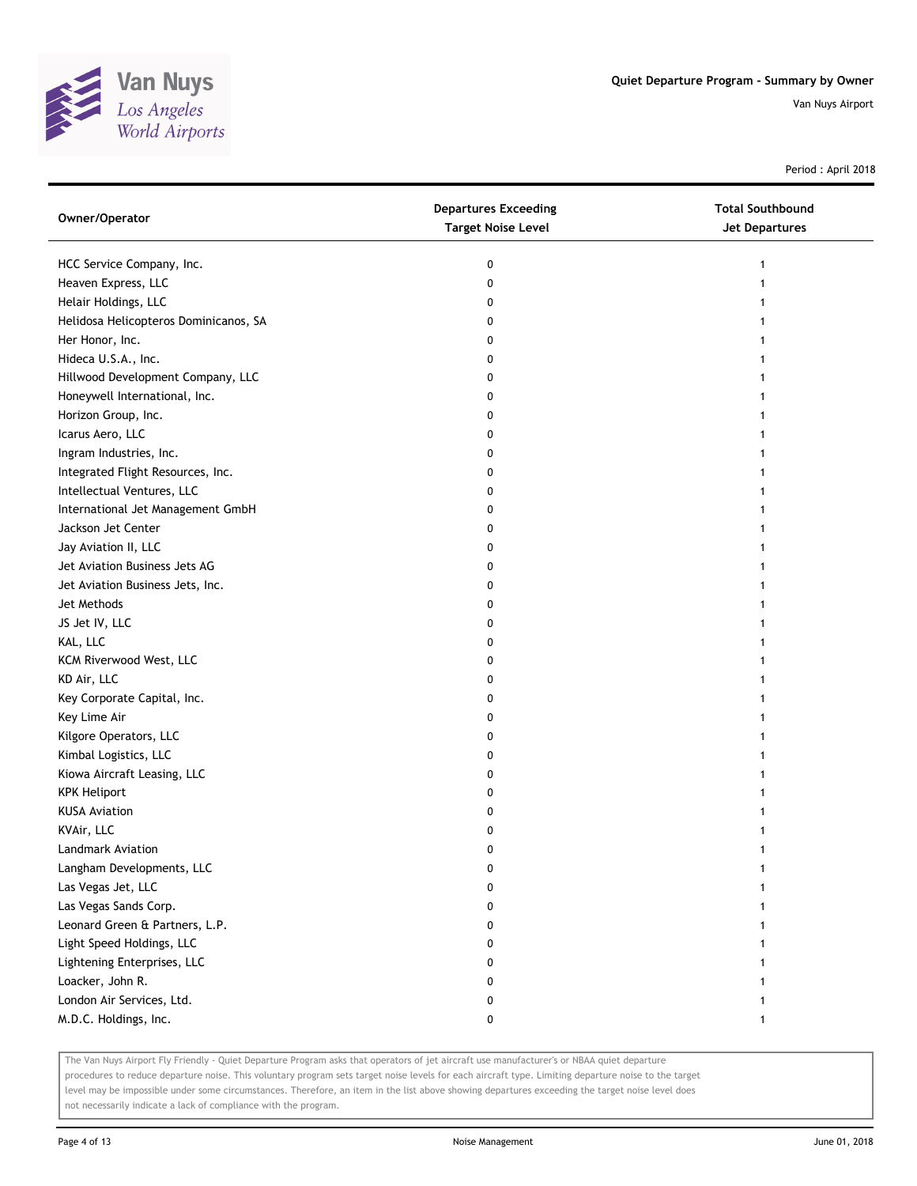

Period : April 2018

| Owner/Operator                        | <b>Departures Exceeding</b><br><b>Target Noise Level</b> | <b>Total Southbound</b><br><b>Jet Departures</b> |
|---------------------------------------|----------------------------------------------------------|--------------------------------------------------|
| HCC Service Company, Inc.             | 0                                                        | 1                                                |
| Heaven Express, LLC                   | 0                                                        |                                                  |
| Helair Holdings, LLC                  | 0                                                        |                                                  |
| Helidosa Helicopteros Dominicanos, SA | 0                                                        |                                                  |
| Her Honor, Inc.                       | 0                                                        |                                                  |
| Hideca U.S.A., Inc.                   | 0                                                        |                                                  |
| Hillwood Development Company, LLC     | 0                                                        |                                                  |
| Honeywell International, Inc.         | 0                                                        |                                                  |
| Horizon Group, Inc.                   | 0                                                        |                                                  |
| Icarus Aero, LLC                      | 0                                                        |                                                  |
| Ingram Industries, Inc.               | 0                                                        |                                                  |
| Integrated Flight Resources, Inc.     | 0                                                        |                                                  |
| Intellectual Ventures, LLC            | 0                                                        |                                                  |
| International Jet Management GmbH     | 0                                                        |                                                  |
| Jackson Jet Center                    | 0                                                        |                                                  |
| Jay Aviation II, LLC                  | 0                                                        |                                                  |
| Jet Aviation Business Jets AG         | 0                                                        |                                                  |
| Jet Aviation Business Jets, Inc.      | 0                                                        |                                                  |
| Jet Methods                           | 0                                                        |                                                  |
| JS Jet IV, LLC                        | 0                                                        |                                                  |
| KAL, LLC                              | 0                                                        |                                                  |
| KCM Riverwood West, LLC               | 0                                                        |                                                  |
| KD Air, LLC                           | 0                                                        |                                                  |
| Key Corporate Capital, Inc.           | 0                                                        |                                                  |
| Key Lime Air                          | 0                                                        |                                                  |
| Kilgore Operators, LLC                | 0                                                        |                                                  |
| Kimbal Logistics, LLC                 | 0                                                        |                                                  |
| Kiowa Aircraft Leasing, LLC           | 0                                                        |                                                  |
| <b>KPK Heliport</b>                   | 0                                                        |                                                  |
| <b>KUSA Aviation</b>                  | 0                                                        |                                                  |
| KVAir, LLC                            | 0                                                        |                                                  |
| Landmark Aviation                     | 0                                                        |                                                  |
| Langham Developments, LLC             | 0                                                        |                                                  |
| Las Vegas Jet, LLC                    | 0                                                        |                                                  |
| Las Vegas Sands Corp.                 | 0                                                        |                                                  |
| Leonard Green & Partners, L.P.        | 0                                                        |                                                  |
| Light Speed Holdings, LLC             | 0                                                        |                                                  |
| Lightening Enterprises, LLC           | 0                                                        |                                                  |
| Loacker, John R.                      | 0                                                        |                                                  |
| London Air Services, Ltd.             | 0                                                        |                                                  |
| M.D.C. Holdings, Inc.                 | 0                                                        |                                                  |

The Van Nuys Airport Fly Friendly - Quiet Departure Program asks that operators of jet aircraft use manufacturer's or NBAA quiet departure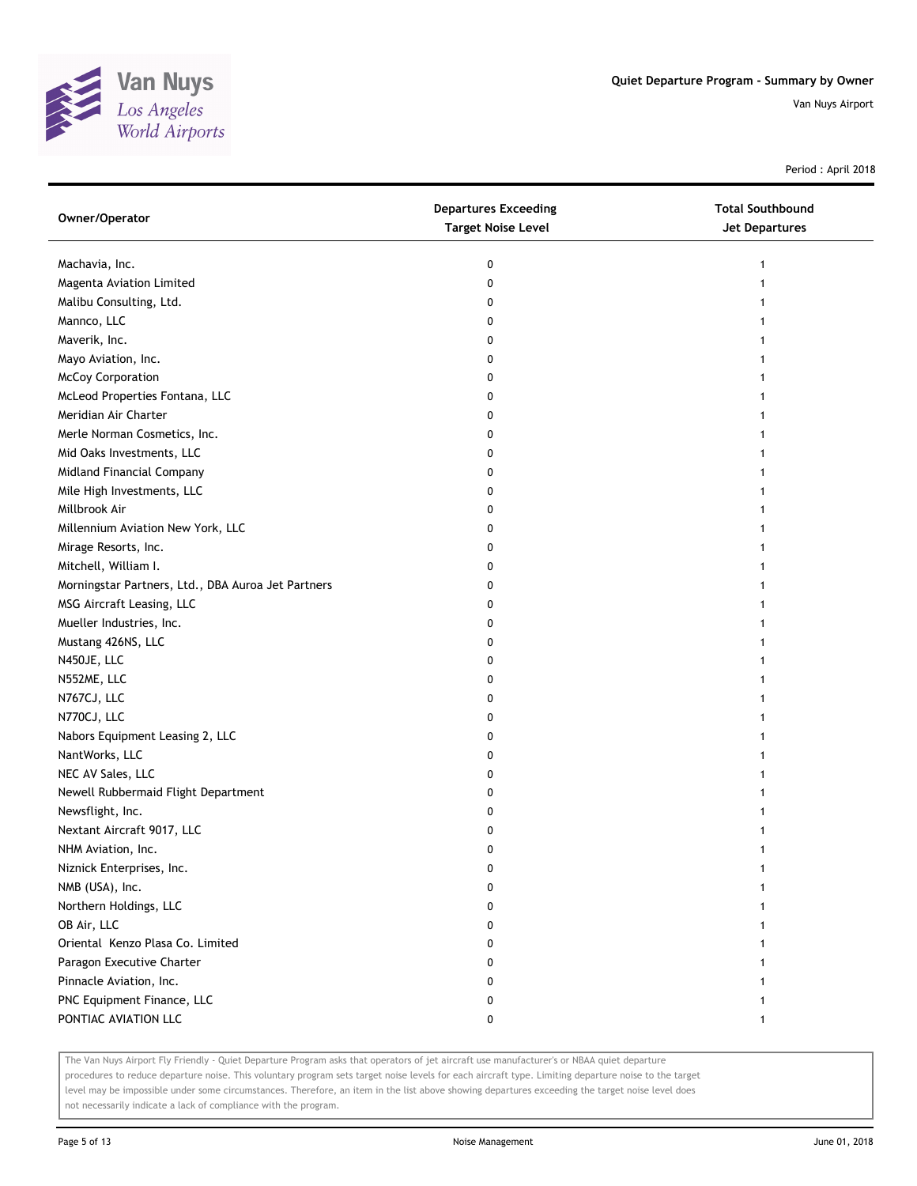

Period : April 2018

| Owner/Operator                                     | <b>Departures Exceeding</b><br><b>Target Noise Level</b> | <b>Total Southbound</b><br><b>Jet Departures</b> |
|----------------------------------------------------|----------------------------------------------------------|--------------------------------------------------|
| Machavia, Inc.                                     | 0                                                        |                                                  |
| Magenta Aviation Limited                           | 0                                                        |                                                  |
| Malibu Consulting, Ltd.                            | 0                                                        |                                                  |
| Mannco, LLC                                        | 0                                                        |                                                  |
| Maverik, Inc.                                      | 0                                                        |                                                  |
| Mayo Aviation, Inc.                                | 0                                                        |                                                  |
| <b>McCoy Corporation</b>                           | 0                                                        |                                                  |
| McLeod Properties Fontana, LLC                     | 0                                                        |                                                  |
| Meridian Air Charter                               | 0                                                        |                                                  |
| Merle Norman Cosmetics, Inc.                       | 0                                                        |                                                  |
| Mid Oaks Investments, LLC                          | 0                                                        |                                                  |
| Midland Financial Company                          | 0                                                        |                                                  |
| Mile High Investments, LLC                         | 0                                                        |                                                  |
| Millbrook Air                                      | 0                                                        |                                                  |
| Millennium Aviation New York, LLC                  | 0                                                        |                                                  |
| Mirage Resorts, Inc.                               | 0                                                        |                                                  |
| Mitchell, William I.                               | 0                                                        |                                                  |
| Morningstar Partners, Ltd., DBA Auroa Jet Partners | 0                                                        |                                                  |
| MSG Aircraft Leasing, LLC                          | 0                                                        |                                                  |
| Mueller Industries, Inc.                           | 0                                                        |                                                  |
| Mustang 426NS, LLC                                 | 0                                                        |                                                  |
| N450JE, LLC                                        | 0                                                        |                                                  |
| N552ME, LLC                                        | 0                                                        |                                                  |
| N767CJ, LLC                                        | 0                                                        |                                                  |
| N770CJ, LLC                                        | 0                                                        |                                                  |
| Nabors Equipment Leasing 2, LLC                    | 0                                                        |                                                  |
| NantWorks, LLC                                     | 0                                                        |                                                  |
| NEC AV Sales, LLC                                  | 0                                                        |                                                  |
| Newell Rubbermaid Flight Department                | 0                                                        |                                                  |
| Newsflight, Inc.                                   | 0                                                        |                                                  |
| Nextant Aircraft 9017, LLC                         | 0                                                        |                                                  |
| NHM Aviation, Inc.                                 | 0                                                        |                                                  |
| Niznick Enterprises, Inc.                          | 0                                                        |                                                  |
| NMB (USA), Inc.                                    | 0                                                        |                                                  |
| Northern Holdings, LLC                             | 0                                                        |                                                  |
| OB Air, LLC                                        | 0                                                        |                                                  |
| Oriental Kenzo Plasa Co. Limited                   | 0                                                        |                                                  |
| Paragon Executive Charter                          | 0                                                        |                                                  |
| Pinnacle Aviation, Inc.                            | 0                                                        |                                                  |
| PNC Equipment Finance, LLC                         | 0                                                        |                                                  |
| PONTIAC AVIATION LLC                               | 0                                                        | 1                                                |

The Van Nuys Airport Fly Friendly - Quiet Departure Program asks that operators of jet aircraft use manufacturer's or NBAA quiet departure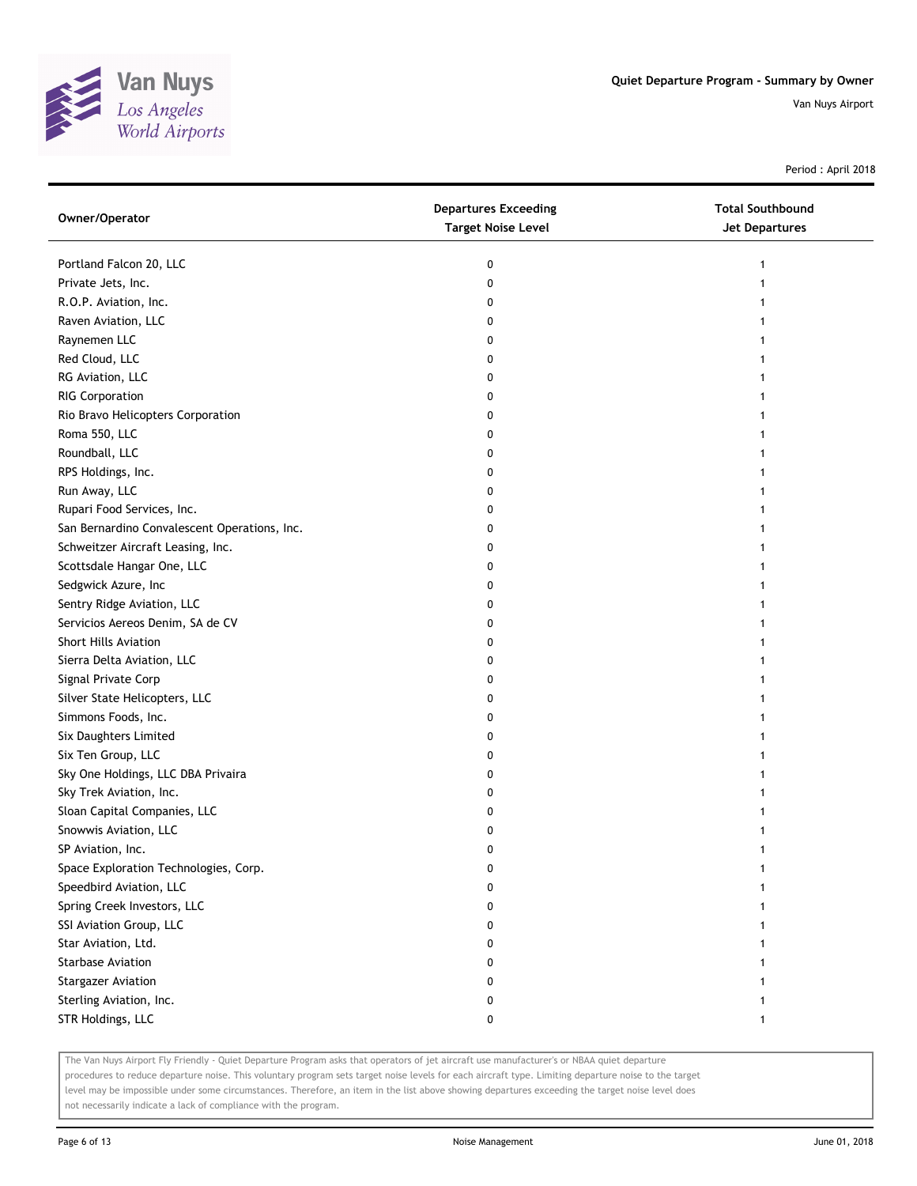

Period : April 2018

| Owner/Operator                               | <b>Departures Exceeding</b><br><b>Target Noise Level</b> | <b>Total Southbound</b><br><b>Jet Departures</b> |
|----------------------------------------------|----------------------------------------------------------|--------------------------------------------------|
| Portland Falcon 20, LLC                      | 0                                                        | $\mathbf{1}$                                     |
| Private Jets, Inc.                           | 0                                                        |                                                  |
| R.O.P. Aviation, Inc.                        | 0                                                        |                                                  |
| Raven Aviation, LLC                          | 0                                                        |                                                  |
| Raynemen LLC                                 | 0                                                        |                                                  |
| Red Cloud, LLC                               | 0                                                        | 1                                                |
| RG Aviation, LLC                             | 0                                                        |                                                  |
| <b>RIG Corporation</b>                       | 0                                                        |                                                  |
| Rio Bravo Helicopters Corporation            | 0                                                        |                                                  |
| Roma 550, LLC                                | 0                                                        |                                                  |
| Roundball, LLC                               | 0                                                        |                                                  |
| RPS Holdings, Inc.                           | 0                                                        |                                                  |
| Run Away, LLC                                | 0                                                        |                                                  |
| Rupari Food Services, Inc.                   | 0                                                        |                                                  |
| San Bernardino Convalescent Operations, Inc. | 0                                                        |                                                  |
| Schweitzer Aircraft Leasing, Inc.            | 0                                                        |                                                  |
| Scottsdale Hangar One, LLC                   | 0                                                        |                                                  |
| Sedgwick Azure, Inc                          | 0                                                        |                                                  |
| Sentry Ridge Aviation, LLC                   | 0                                                        |                                                  |
| Servicios Aereos Denim, SA de CV             | 0                                                        |                                                  |
| <b>Short Hills Aviation</b>                  | 0                                                        |                                                  |
| Sierra Delta Aviation, LLC                   | 0                                                        |                                                  |
| Signal Private Corp                          | 0                                                        |                                                  |
| Silver State Helicopters, LLC                | 0                                                        |                                                  |
| Simmons Foods, Inc.                          | 0                                                        |                                                  |
| Six Daughters Limited                        | 0                                                        | 1                                                |
| Six Ten Group, LLC                           | 0                                                        |                                                  |
| Sky One Holdings, LLC DBA Privaira           | 0                                                        |                                                  |
| Sky Trek Aviation, Inc.                      | 0                                                        |                                                  |
| Sloan Capital Companies, LLC                 | 0                                                        |                                                  |
| Snowwis Aviation, LLC                        | 0                                                        |                                                  |
| SP Aviation, Inc.                            | 0                                                        | 1                                                |
| Space Exploration Technologies, Corp.        | 0                                                        |                                                  |
| Speedbird Aviation, LLC                      |                                                          |                                                  |
| Spring Creek Investors, LLC                  | o                                                        |                                                  |
| SSI Aviation Group, LLC                      | 0                                                        |                                                  |
| Star Aviation, Ltd.                          | 0                                                        |                                                  |
| <b>Starbase Aviation</b>                     | 0                                                        |                                                  |
| <b>Stargazer Aviation</b>                    | 0                                                        |                                                  |
| Sterling Aviation, Inc.                      | 0                                                        |                                                  |
| STR Holdings, LLC                            | 0                                                        | 1                                                |

The Van Nuys Airport Fly Friendly - Quiet Departure Program asks that operators of jet aircraft use manufacturer's or NBAA quiet departure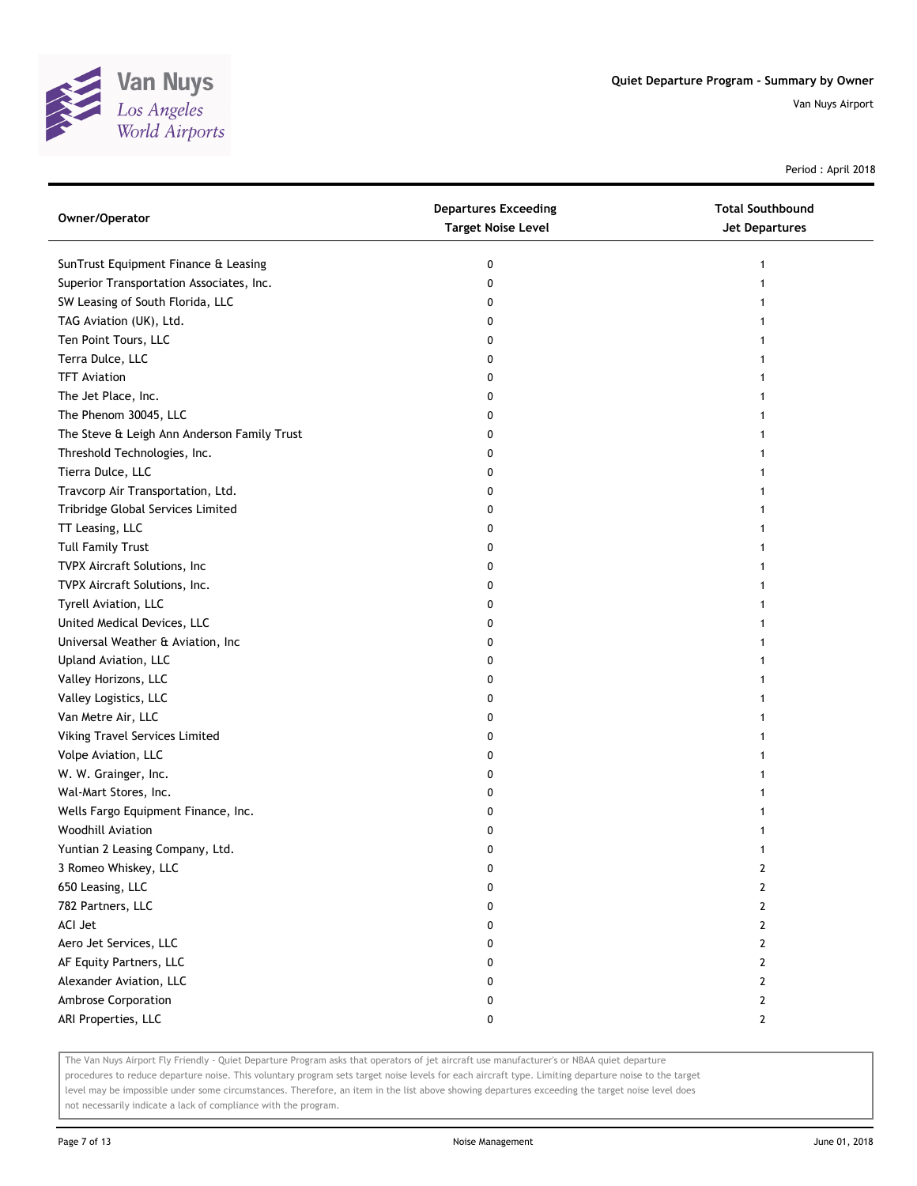

Period : April 2018

| Owner/Operator                              | <b>Departures Exceeding</b><br><b>Target Noise Level</b> | <b>Total Southbound</b><br>Jet Departures |
|---------------------------------------------|----------------------------------------------------------|-------------------------------------------|
| SunTrust Equipment Finance & Leasing        | 0                                                        |                                           |
| Superior Transportation Associates, Inc.    | 0                                                        |                                           |
| SW Leasing of South Florida, LLC            | 0                                                        |                                           |
| TAG Aviation (UK), Ltd.                     | 0                                                        |                                           |
| Ten Point Tours, LLC                        | 0                                                        |                                           |
| Terra Dulce, LLC                            | 0                                                        |                                           |
| <b>TFT Aviation</b>                         | 0                                                        |                                           |
| The Jet Place, Inc.                         | 0                                                        |                                           |
| The Phenom 30045, LLC                       | 0                                                        |                                           |
| The Steve & Leigh Ann Anderson Family Trust | 0                                                        |                                           |
| Threshold Technologies, Inc.                | 0                                                        |                                           |
| Tierra Dulce, LLC                           | 0                                                        |                                           |
| Travcorp Air Transportation, Ltd.           | 0                                                        |                                           |
| Tribridge Global Services Limited           | 0                                                        |                                           |
| TT Leasing, LLC                             | 0                                                        |                                           |
| <b>Tull Family Trust</b>                    | 0                                                        |                                           |
| TVPX Aircraft Solutions, Inc                | 0                                                        |                                           |
| TVPX Aircraft Solutions, Inc.               | 0                                                        |                                           |
| Tyrell Aviation, LLC                        | 0                                                        |                                           |
| United Medical Devices, LLC                 | 0                                                        |                                           |
| Universal Weather & Aviation, Inc           | 0                                                        |                                           |
| Upland Aviation, LLC                        | 0                                                        |                                           |
| Valley Horizons, LLC                        | 0                                                        |                                           |
| Valley Logistics, LLC                       | 0                                                        |                                           |
| Van Metre Air, LLC                          | 0                                                        |                                           |
| Viking Travel Services Limited              | 0                                                        |                                           |
| Volpe Aviation, LLC                         | 0                                                        |                                           |
| W. W. Grainger, Inc.                        | 0                                                        |                                           |
| Wal-Mart Stores, Inc.                       | 0                                                        |                                           |
| Wells Fargo Equipment Finance, Inc.         | 0                                                        |                                           |
| Woodhill Aviation                           | 0                                                        |                                           |
| Yuntian 2 Leasing Company, Ltd.             | 0                                                        |                                           |
| 3 Romeo Whiskey, LLC                        | 0                                                        | 2                                         |
| 650 Leasing, LLC                            | 0                                                        | $\overline{2}$                            |
| 782 Partners, LLC                           | 0                                                        | $\overline{2}$                            |
| ACI Jet                                     | 0                                                        | 2                                         |
| Aero Jet Services, LLC                      | 0                                                        | 2                                         |
| AF Equity Partners, LLC                     | 0                                                        | 2                                         |
| Alexander Aviation, LLC                     | 0                                                        | $\overline{2}$                            |
| Ambrose Corporation                         | 0                                                        | $\overline{2}$                            |
| ARI Properties, LLC                         | 0                                                        | $\mathbf{2}$                              |

The Van Nuys Airport Fly Friendly - Quiet Departure Program asks that operators of jet aircraft use manufacturer's or NBAA quiet departure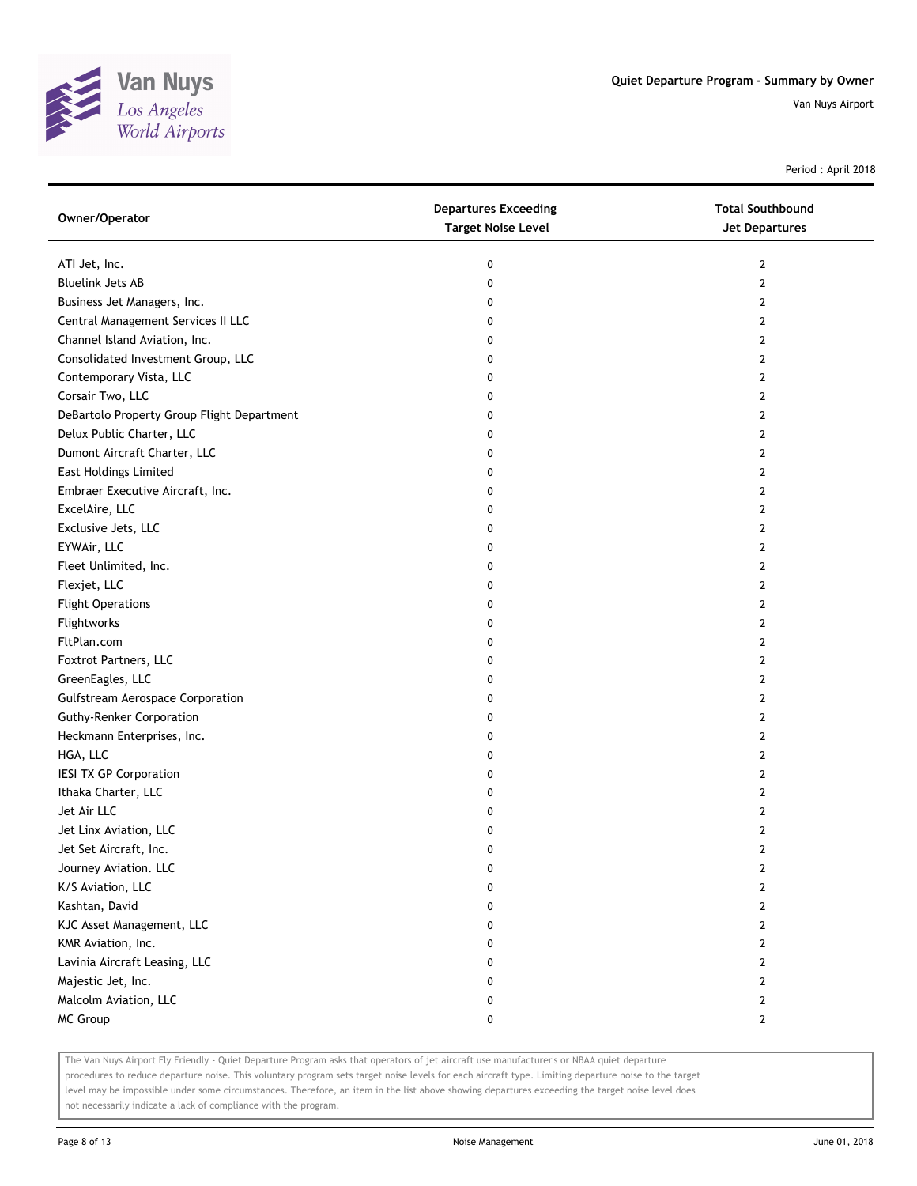

Period : April 2018

| Owner/Operator                             | <b>Departures Exceeding</b><br><b>Target Noise Level</b> | <b>Total Southbound</b><br><b>Jet Departures</b> |
|--------------------------------------------|----------------------------------------------------------|--------------------------------------------------|
| ATI Jet, Inc.                              | 0                                                        | 2                                                |
| <b>Bluelink Jets AB</b>                    | 0                                                        | 2                                                |
| Business Jet Managers, Inc.                | 0                                                        | $\mathbf{2}$                                     |
| Central Management Services II LLC         | 0                                                        | 2                                                |
| Channel Island Aviation, Inc.              | 0                                                        | 2                                                |
| Consolidated Investment Group, LLC         | 0                                                        | 2                                                |
| Contemporary Vista, LLC                    | 0                                                        | 2                                                |
| Corsair Two, LLC                           | 0                                                        | $\mathbf{2}$                                     |
| DeBartolo Property Group Flight Department | 0                                                        | $\mathbf{2}$                                     |
| Delux Public Charter, LLC                  | 0                                                        | 2                                                |
| Dumont Aircraft Charter, LLC               | 0                                                        | $\mathbf{2}$                                     |
| <b>East Holdings Limited</b>               | 0                                                        | 2                                                |
| Embraer Executive Aircraft, Inc.           | 0                                                        | $\mathbf{2}$                                     |
| ExcelAire, LLC                             | 0                                                        | $\mathbf{2}$                                     |
| Exclusive Jets, LLC                        | 0                                                        | 2                                                |
| EYWAir, LLC                                | 0                                                        | 2                                                |
| Fleet Unlimited, Inc.                      | 0                                                        | 2                                                |
| Flexjet, LLC                               | 0                                                        | $\mathbf{2}$                                     |
| <b>Flight Operations</b>                   | 0                                                        | $\mathbf{2}$                                     |
| Flightworks                                | 0                                                        | $\mathbf{2}$                                     |
| FltPlan.com                                | 0                                                        | $\mathbf{2}$                                     |
| Foxtrot Partners, LLC                      | 0                                                        | 2                                                |
| GreenEagles, LLC                           | 0                                                        | $\mathbf{2}$                                     |
| <b>Gulfstream Aerospace Corporation</b>    | 0                                                        | $\mathbf{2}$                                     |
| <b>Guthy-Renker Corporation</b>            | 0                                                        | 2                                                |
| Heckmann Enterprises, Inc.                 | 0                                                        | 2                                                |
| HGA, LLC                                   | 0                                                        | 2                                                |
| <b>IESI TX GP Corporation</b>              | 0                                                        | $\mathbf{2}$                                     |
| Ithaka Charter, LLC                        | 0                                                        | $\mathbf{2}$                                     |
| Jet Air LLC                                | 0                                                        | 2                                                |
| Jet Linx Aviation, LLC                     | 0                                                        | $\mathbf{2}$                                     |
| Jet Set Aircraft, Inc.                     | 0                                                        | $\mathbf{2}$                                     |
| Journey Aviation. LLC                      | 0                                                        | $\overline{2}$                                   |
| K/S Aviation, LLC                          | 0                                                        | $\mathbf{2}$                                     |
| Kashtan, David                             | 0                                                        | $\mathbf{2}$                                     |
| KJC Asset Management, LLC                  | 0                                                        | $\mathbf{2}$                                     |
| KMR Aviation, Inc.                         | 0                                                        | 2                                                |
| Lavinia Aircraft Leasing, LLC              | 0                                                        | $\mathbf{2}$                                     |
| Majestic Jet, Inc.                         | 0                                                        | 2                                                |
| Malcolm Aviation, LLC                      | 0                                                        | 2                                                |
| MC Group                                   | 0                                                        | $\mathbf{2}$                                     |

The Van Nuys Airport Fly Friendly - Quiet Departure Program asks that operators of jet aircraft use manufacturer's or NBAA quiet departure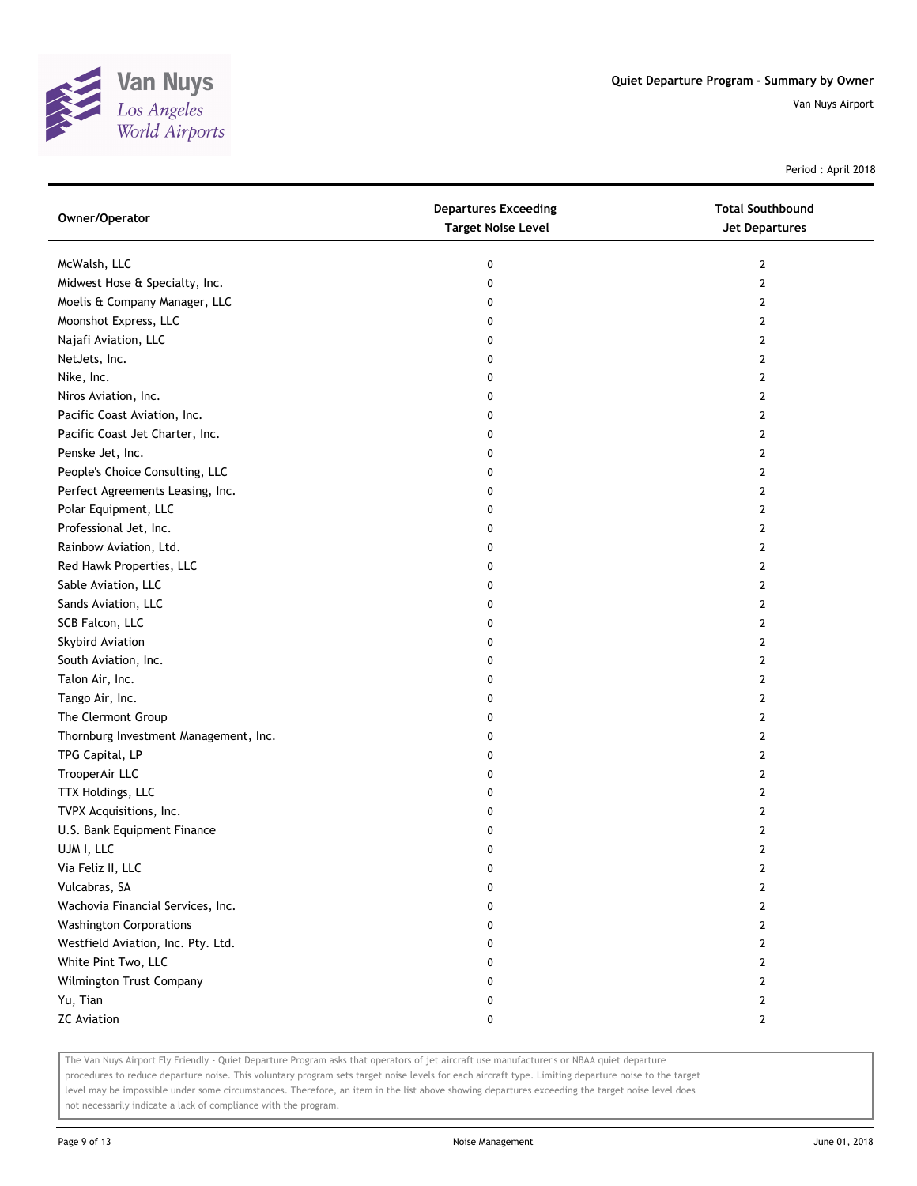

Period : April 2018

| Owner/Operator                        | <b>Departures Exceeding</b><br><b>Target Noise Level</b> | <b>Total Southbound</b><br><b>Jet Departures</b> |
|---------------------------------------|----------------------------------------------------------|--------------------------------------------------|
| McWalsh, LLC                          | 0                                                        | 2                                                |
| Midwest Hose & Specialty, Inc.        | 0                                                        | $\mathbf{2}$                                     |
| Moelis & Company Manager, LLC         | 0                                                        | 2                                                |
| Moonshot Express, LLC                 | 0                                                        | $\mathbf{2}$                                     |
| Najafi Aviation, LLC                  | 0                                                        | 2                                                |
| NetJets, Inc.                         | 0                                                        | 2                                                |
| Nike, Inc.                            | 0                                                        | 2                                                |
| Niros Aviation, Inc.                  | 0                                                        | $\mathbf{2}$                                     |
| Pacific Coast Aviation, Inc.          | 0                                                        | $\mathbf{2}$                                     |
| Pacific Coast Jet Charter, Inc.       | 0                                                        | $\mathbf{2}$                                     |
| Penske Jet, Inc.                      | 0                                                        | 2                                                |
| People's Choice Consulting, LLC       | 0                                                        | 2                                                |
| Perfect Agreements Leasing, Inc.      | 0                                                        | 2                                                |
| Polar Equipment, LLC                  | 0                                                        | $\mathbf{2}$                                     |
| Professional Jet, Inc.                | 0                                                        | 2                                                |
| Rainbow Aviation, Ltd.                | 0                                                        | 2                                                |
| Red Hawk Properties, LLC              | 0                                                        | 2                                                |
| Sable Aviation, LLC                   | 0                                                        | $\mathbf{2}$                                     |
| Sands Aviation, LLC                   | 0                                                        | $\mathbf{2}$                                     |
| SCB Falcon, LLC                       | 0                                                        | $\mathbf{2}$                                     |
| Skybird Aviation                      | 0                                                        | 2                                                |
| South Aviation, Inc.                  | 0                                                        | 2                                                |
| Talon Air, Inc.                       | 0                                                        | 2                                                |
| Tango Air, Inc.                       | 0                                                        | $\mathbf{2}$                                     |
| The Clermont Group                    | 0                                                        | 2                                                |
| Thornburg Investment Management, Inc. | 0                                                        | 2                                                |
| TPG Capital, LP                       | 0                                                        | 2                                                |
| TrooperAir LLC                        | 0                                                        | 2                                                |
| TTX Holdings, LLC                     | 0                                                        | $\overline{2}$                                   |
| TVPX Acquisitions, Inc.               | 0                                                        | $\overline{2}$                                   |
| U.S. Bank Equipment Finance           | 0                                                        | $\overline{2}$                                   |
| UJM I, LLC                            | 0                                                        | $\overline{2}$                                   |
| Via Feliz II, LLC                     | 0                                                        | 2                                                |
| Vulcabras, SA                         | 0                                                        | $\overline{2}$                                   |
| Wachovia Financial Services, Inc.     | 0                                                        | 2                                                |
| <b>Washington Corporations</b>        | 0                                                        | 2                                                |
| Westfield Aviation, Inc. Pty. Ltd.    | 0                                                        | 2                                                |
| White Pint Two, LLC                   | 0                                                        | 2                                                |
| Wilmington Trust Company              | 0                                                        | $\overline{2}$                                   |
| Yu, Tian                              | 0                                                        | 2                                                |
| <b>ZC Aviation</b>                    | 0                                                        | $\mathbf{2}$                                     |

The Van Nuys Airport Fly Friendly - Quiet Departure Program asks that operators of jet aircraft use manufacturer's or NBAA quiet departure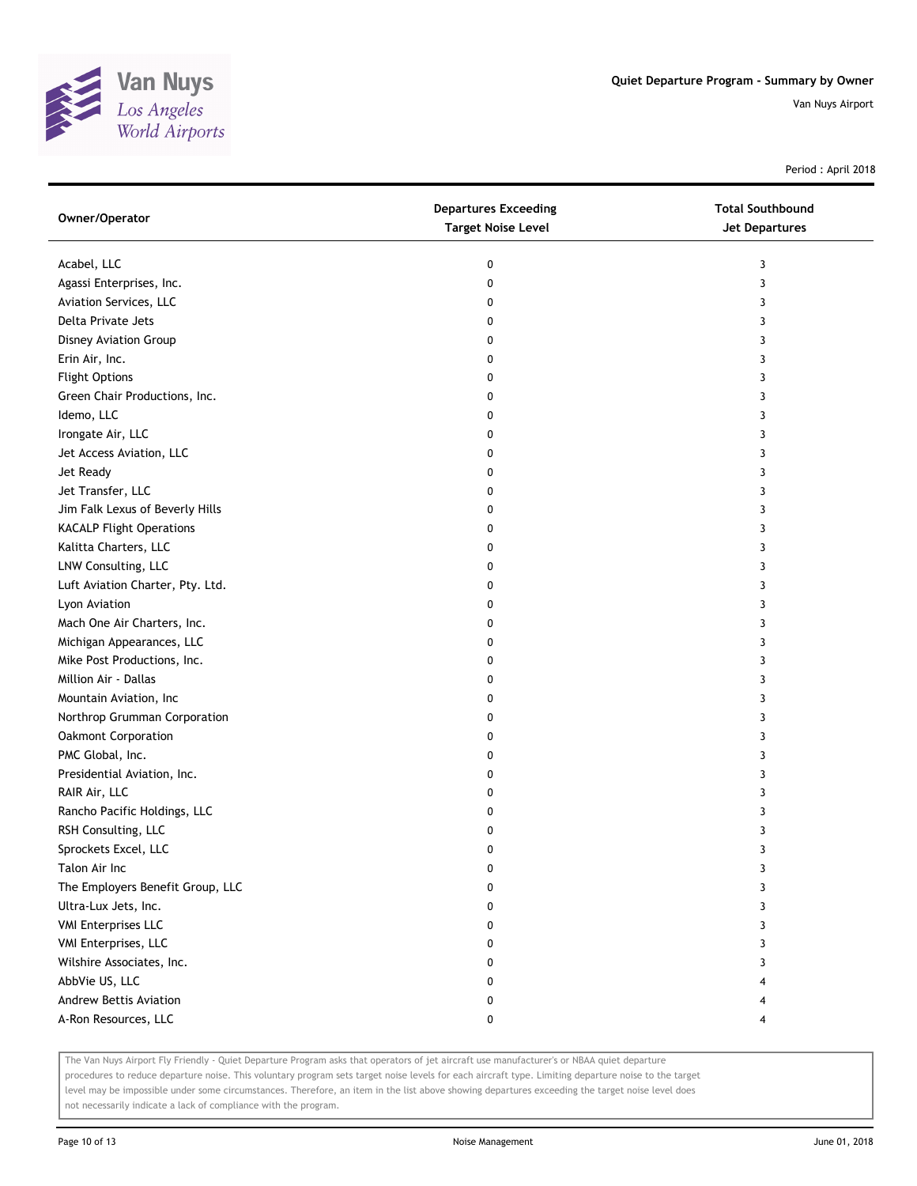

Period : April 2018

| Owner/Operator                   | <b>Departures Exceeding</b><br><b>Target Noise Level</b> | <b>Total Southbound</b><br><b>Jet Departures</b> |
|----------------------------------|----------------------------------------------------------|--------------------------------------------------|
| Acabel, LLC                      | 0                                                        | 3                                                |
| Agassi Enterprises, Inc.         | 0                                                        | 3                                                |
| Aviation Services, LLC           | 0                                                        | 3                                                |
| Delta Private Jets               | 0                                                        | 3                                                |
| Disney Aviation Group            | 0                                                        | 3                                                |
| Erin Air, Inc.                   | 0                                                        | 3                                                |
| <b>Flight Options</b>            | 0                                                        | 3                                                |
| Green Chair Productions, Inc.    | 0                                                        | 3                                                |
| Idemo, LLC                       | 0                                                        | 3                                                |
| Irongate Air, LLC                | 0                                                        | 3                                                |
| Jet Access Aviation, LLC         | 0                                                        | 3                                                |
| Jet Ready                        | 0                                                        | 3                                                |
| Jet Transfer, LLC                | 0                                                        | 3                                                |
| Jim Falk Lexus of Beverly Hills  | 0                                                        | 3                                                |
| <b>KACALP Flight Operations</b>  | 0                                                        | 3                                                |
| Kalitta Charters, LLC            | 0                                                        | 3                                                |
| LNW Consulting, LLC              | 0                                                        | 3                                                |
| Luft Aviation Charter, Pty. Ltd. | 0                                                        | 3                                                |
| Lyon Aviation                    | 0                                                        | 3                                                |
| Mach One Air Charters, Inc.      | 0                                                        | 3                                                |
| Michigan Appearances, LLC        | 0                                                        | 3                                                |
| Mike Post Productions, Inc.      | 0                                                        | 3                                                |
| Million Air - Dallas             | 0                                                        | 3                                                |
| Mountain Aviation, Inc           | 0                                                        | 3                                                |
| Northrop Grumman Corporation     | 0                                                        | 3                                                |
| Oakmont Corporation              | 0                                                        | 3                                                |
| PMC Global, Inc.                 | 0                                                        | 3                                                |
| Presidential Aviation, Inc.      | 0                                                        | 3                                                |
| RAIR Air, LLC                    | 0                                                        | 3                                                |
| Rancho Pacific Holdings, LLC     | 0                                                        | 3                                                |
| RSH Consulting, LLC              | 0                                                        | 3                                                |
| Sprockets Excel, LLC             | 0                                                        | 3                                                |
| Talon Air Inc                    | 0                                                        | 3                                                |
| The Employers Benefit Group, LLC | 0                                                        | 3                                                |
| Ultra-Lux Jets, Inc.             | 0                                                        | 3                                                |
| <b>VMI Enterprises LLC</b>       | 0                                                        | 3                                                |
| VMI Enterprises, LLC             | 0                                                        | 3                                                |
| Wilshire Associates, Inc.        | 0                                                        | 3                                                |
| AbbVie US, LLC                   | 0                                                        | 4                                                |
| Andrew Bettis Aviation           | 0                                                        | 4                                                |
| A-Ron Resources, LLC             | 0                                                        | 4                                                |

The Van Nuys Airport Fly Friendly - Quiet Departure Program asks that operators of jet aircraft use manufacturer's or NBAA quiet departure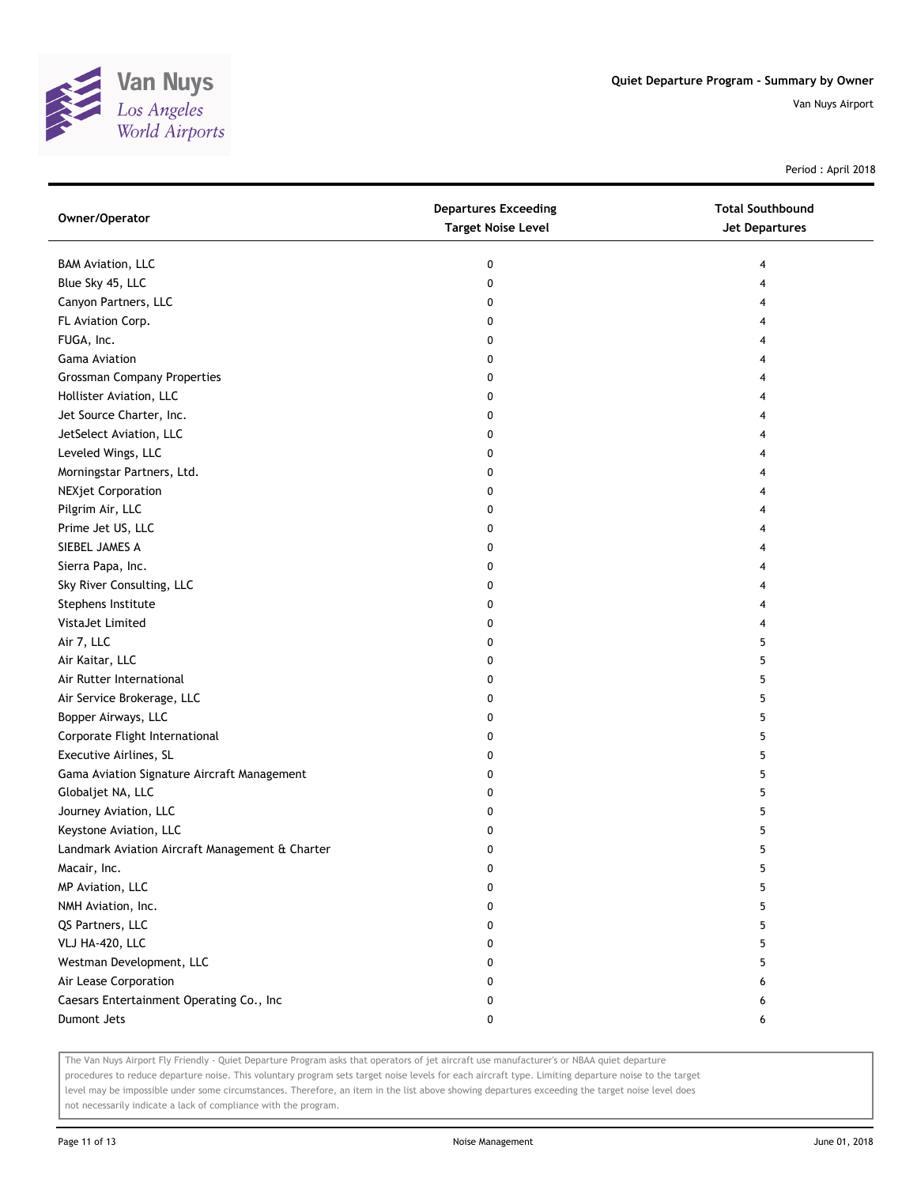

Period : April 2018

| Owner/Operator                                  | <b>Departures Exceeding</b><br><b>Target Noise Level</b> | <b>Total Southbound</b><br><b>Jet Departures</b> |
|-------------------------------------------------|----------------------------------------------------------|--------------------------------------------------|
| <b>BAM Aviation, LLC</b>                        | 0                                                        | 4                                                |
| Blue Sky 45, LLC                                | 0                                                        | 4                                                |
| Canyon Partners, LLC                            | 0                                                        | 4                                                |
| FL Aviation Corp.                               | 0                                                        | 4                                                |
| FUGA, Inc.                                      | 0                                                        | 4                                                |
| <b>Gama Aviation</b>                            | 0                                                        | 4                                                |
| <b>Grossman Company Properties</b>              | 0                                                        | 4                                                |
| Hollister Aviation, LLC                         | 0                                                        | 4                                                |
| Jet Source Charter, Inc.                        | 0                                                        | 4                                                |
| JetSelect Aviation, LLC                         | 0                                                        | 4                                                |
| Leveled Wings, LLC                              | 0                                                        |                                                  |
| Morningstar Partners, Ltd.                      | 0                                                        |                                                  |
| <b>NEXjet Corporation</b>                       | 0                                                        | 4                                                |
| Pilgrim Air, LLC                                | 0                                                        | 4                                                |
| Prime Jet US, LLC                               | 0                                                        | 4                                                |
| SIEBEL JAMES A                                  | 0                                                        | 4                                                |
| Sierra Papa, Inc.                               | 0                                                        | 4                                                |
| Sky River Consulting, LLC                       | 0                                                        | 4                                                |
| Stephens Institute                              | 0                                                        | 4                                                |
| VistaJet Limited                                | 0                                                        | 4                                                |
| Air 7, LLC                                      | 0                                                        | 5                                                |
| Air Kaitar, LLC                                 | 0                                                        | 5                                                |
| Air Rutter International                        | 0                                                        | 5                                                |
| Air Service Brokerage, LLC                      | 0                                                        | 5                                                |
| Bopper Airways, LLC                             | 0                                                        | 5                                                |
| Corporate Flight International                  | 0                                                        | 5                                                |
| Executive Airlines, SL                          | 0                                                        | 5                                                |
| Gama Aviation Signature Aircraft Management     | 0                                                        | 5                                                |
| Globaljet NA, LLC                               | 0                                                        | 5                                                |
| Journey Aviation, LLC                           | 0                                                        | 5                                                |
| Keystone Aviation, LLC                          | 0                                                        | 5                                                |
| Landmark Aviation Aircraft Management & Charter | 0                                                        | 5                                                |
| Macair, Inc.                                    | $\pmb{0}$                                                | 5                                                |
| MP Aviation, LLC                                | 0                                                        | 5                                                |
| NMH Aviation, Inc.                              | 0                                                        | 5                                                |
| QS Partners, LLC                                | 0                                                        | 5                                                |
| VLJ HA-420, LLC                                 | 0                                                        | 5                                                |
| Westman Development, LLC                        | 0                                                        | 5                                                |
| Air Lease Corporation                           | 0                                                        | 6                                                |
| Caesars Entertainment Operating Co., Inc        | 0                                                        | 6                                                |
| Dumont Jets                                     | 0                                                        | 6                                                |

The Van Nuys Airport Fly Friendly - Quiet Departure Program asks that operators of jet aircraft use manufacturer's or NBAA quiet departure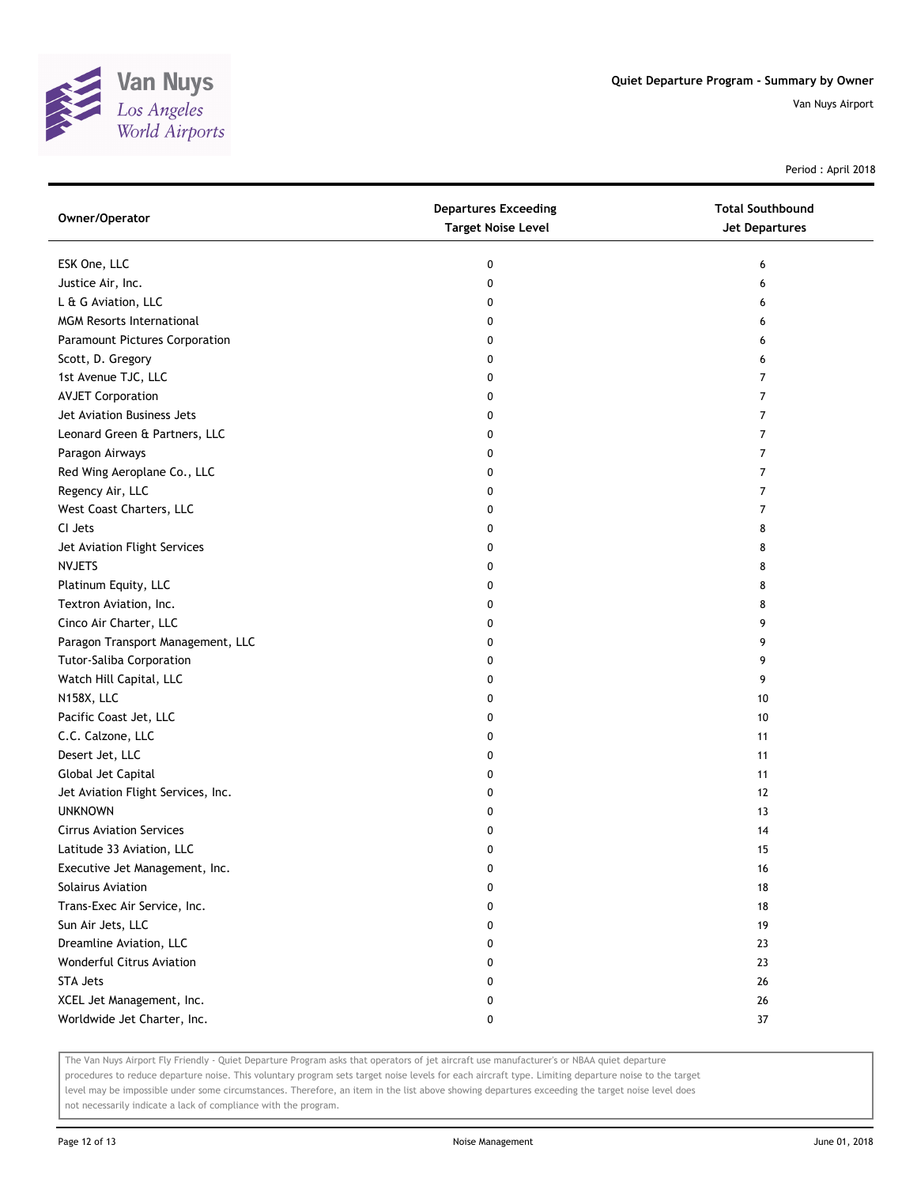

Period : April 2018

| Owner/Operator                     | <b>Departures Exceeding</b><br><b>Target Noise Level</b> | <b>Total Southbound</b><br><b>Jet Departures</b> |
|------------------------------------|----------------------------------------------------------|--------------------------------------------------|
| ESK One, LLC                       | 0                                                        | 6                                                |
| Justice Air, Inc.                  | 0                                                        | 6                                                |
| L & G Aviation, LLC                | 0                                                        | 6                                                |
| <b>MGM Resorts International</b>   | 0                                                        | 6                                                |
| Paramount Pictures Corporation     | 0                                                        | 6                                                |
| Scott, D. Gregory                  | 0                                                        | 6                                                |
| 1st Avenue TJC, LLC                | 0                                                        | $\overline{7}$                                   |
| <b>AVJET Corporation</b>           | 0                                                        | $\overline{7}$                                   |
| Jet Aviation Business Jets         | 0                                                        | $\overline{7}$                                   |
| Leonard Green & Partners, LLC      | 0                                                        | 7                                                |
| Paragon Airways                    | 0                                                        | 7                                                |
| Red Wing Aeroplane Co., LLC        | 0                                                        | $\overline{7}$                                   |
| Regency Air, LLC                   | 0                                                        | 7                                                |
| West Coast Charters, LLC           | 0                                                        | 7                                                |
| CI Jets                            | 0                                                        | 8                                                |
| Jet Aviation Flight Services       | 0                                                        | 8                                                |
| <b>NVJETS</b>                      | 0                                                        | 8                                                |
| Platinum Equity, LLC               | 0                                                        | 8                                                |
| Textron Aviation, Inc.             | 0                                                        | 8                                                |
| Cinco Air Charter, LLC             | 0                                                        | 9                                                |
| Paragon Transport Management, LLC  | 0                                                        | 9                                                |
| <b>Tutor-Saliba Corporation</b>    | 0                                                        | 9                                                |
| Watch Hill Capital, LLC            | 0                                                        | 9                                                |
| N158X, LLC                         | 0                                                        | 10                                               |
| Pacific Coast Jet, LLC             | 0                                                        | 10                                               |
| C.C. Calzone, LLC                  | 0                                                        | 11                                               |
| Desert Jet, LLC                    | 0                                                        | 11                                               |
| Global Jet Capital                 | 0                                                        | 11                                               |
| Jet Aviation Flight Services, Inc. | 0                                                        | 12                                               |
| <b>UNKNOWN</b>                     | 0                                                        | 13                                               |
| <b>Cirrus Aviation Services</b>    | 0                                                        | 14                                               |
| Latitude 33 Aviation, LLC          | 0                                                        | 15                                               |
| Executive Jet Management, Inc.     | 0                                                        | 16                                               |
| <b>Solairus Aviation</b>           | 0                                                        | 18                                               |
| Trans-Exec Air Service, Inc.       | 0                                                        | 18                                               |
| Sun Air Jets, LLC                  | 0                                                        | 19                                               |
| Dreamline Aviation, LLC            | 0                                                        | 23                                               |
| Wonderful Citrus Aviation          | 0                                                        | 23                                               |
| <b>STA Jets</b>                    | 0                                                        | 26                                               |
| XCEL Jet Management, Inc.          | 0                                                        | 26                                               |
| Worldwide Jet Charter, Inc.        | 0                                                        | 37                                               |

The Van Nuys Airport Fly Friendly - Quiet Departure Program asks that operators of jet aircraft use manufacturer's or NBAA quiet departure